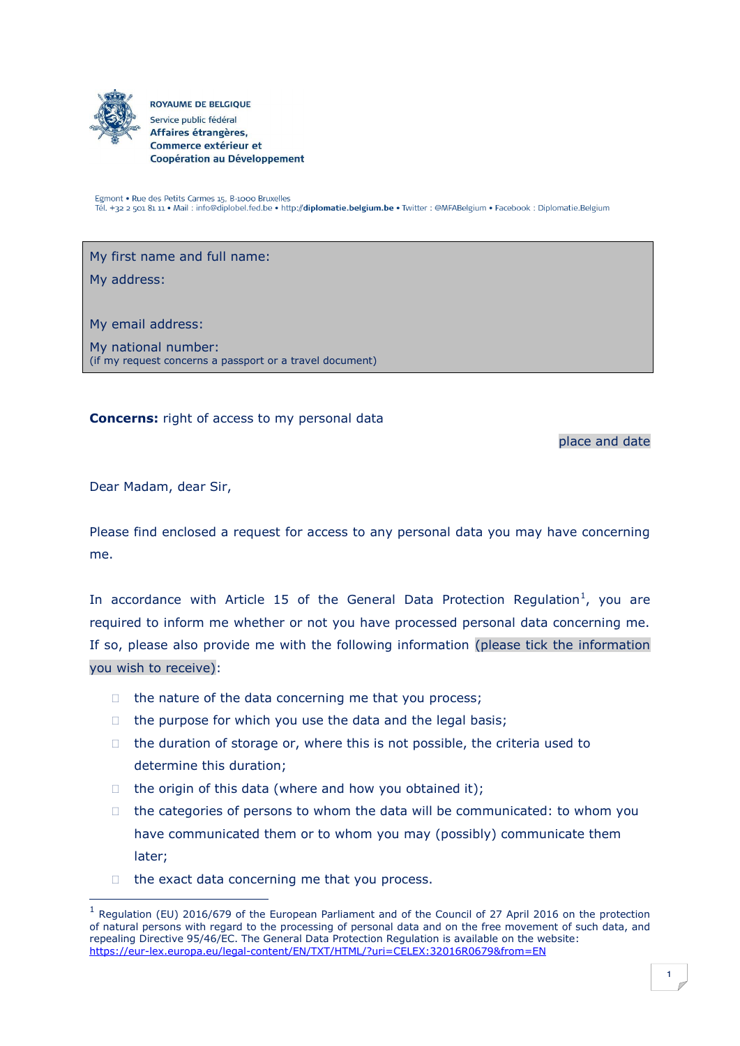

**ROYAUME DE BELGIQUE** Service public fédéral Affaires étrangères, Commerce extérieur et Coopération au Développement

Egmont • Rue des Petits Carmes 15, B-1000 Bruxelles Tél. +32 2 501 81 11 · Mail : info@diplobel.fed.be · http://diplomatie.belgium.be · Twitter : @MFABelgium · Facebook : Diplomatie.Belgium

My first name and full name:

My address:

My email address:

My national number: (if my request concerns a passport or a travel document)

**Concerns:** right of access to my personal data

place and date

Dear Madam, dear Sir,

-

Please find enclosed a request for access to any personal data you may have concerning me.

In accordance with Article 15 of the General Data Protection Regulation<sup>1</sup>, you are required to inform me whether or not you have processed personal data concerning me. If so, please also provide me with the following information (please tick the information you wish to receive):

- $\Box$  the nature of the data concerning me that you process;
- $\Box$  the purpose for which you use the data and the legal basis;
- $\Box$  the duration of storage or, where this is not possible, the criteria used to determine this duration;
- $\Box$  the origin of this data (where and how you obtained it);
- $\Box$  the categories of persons to whom the data will be communicated: to whom you have communicated them or to whom you may (possibly) communicate them later;
- $\Box$  the exact data concerning me that you process.

<sup>&</sup>lt;sup>1</sup> Regulation (EU) 2016/679 of the European Parliament and of the Council of 27 April 2016 on the protection of natural persons with regard to the processing of personal data and on the free movement of such data, and repealing Directive 95/46/EC. The General Data Protection Regulation is available on the website: <https://eur-lex.europa.eu/legal-content/EN/TXT/HTML/?uri=CELEX:32016R0679&from=EN>